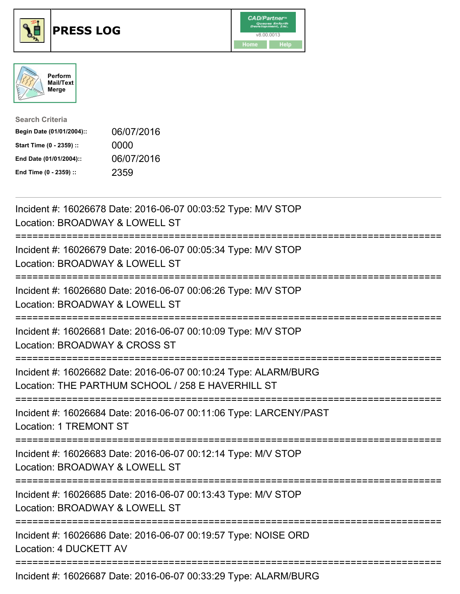





| <b>Search Criteria</b>    |            |
|---------------------------|------------|
| Begin Date (01/01/2004):: | 06/07/2016 |
| Start Time (0 - 2359) ::  | 0000       |
| End Date (01/01/2004)::   | 06/07/2016 |
| End Time (0 - 2359) ::    | 2359       |

| Incident #: 16026678 Date: 2016-06-07 00:03:52 Type: M/V STOP<br>Location: BROADWAY & LOWELL ST                                 |
|---------------------------------------------------------------------------------------------------------------------------------|
| Incident #: 16026679 Date: 2016-06-07 00:05:34 Type: M/V STOP<br>Location: BROADWAY & LOWELL ST                                 |
| Incident #: 16026680 Date: 2016-06-07 00:06:26 Type: M/V STOP<br>Location: BROADWAY & LOWELL ST<br>-----------------            |
| Incident #: 16026681 Date: 2016-06-07 00:10:09 Type: M/V STOP<br>Location: BROADWAY & CROSS ST<br>======================        |
| Incident #: 16026682 Date: 2016-06-07 00:10:24 Type: ALARM/BURG<br>Location: THE PARTHUM SCHOOL / 258 E HAVERHILL ST            |
| Incident #: 16026684 Date: 2016-06-07 00:11:06 Type: LARCENY/PAST<br><b>Location: 1 TREMONT ST</b>                              |
| Incident #: 16026683 Date: 2016-06-07 00:12:14 Type: M/V STOP<br>Location: BROADWAY & LOWELL ST<br>;=========================== |
| Incident #: 16026685 Date: 2016-06-07 00:13:43 Type: M/V STOP<br>Location: BROADWAY & LOWELL ST                                 |
| ======================<br>Incident #: 16026686 Date: 2016-06-07 00:19:57 Type: NOISE ORD<br>Location: 4 DUCKETT AV              |
| Incident #: 16026687 Date: 2016-06-07 00:33:29 Type: ALARM/BURG                                                                 |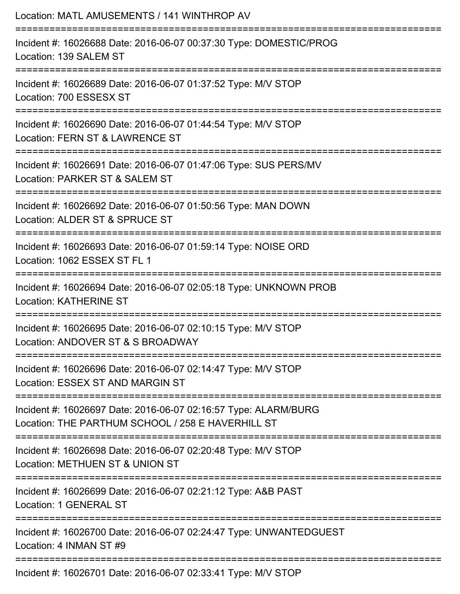| Location: MATL AMUSEMENTS / 141 WINTHROP AV                                                                                               |
|-------------------------------------------------------------------------------------------------------------------------------------------|
| Incident #: 16026688 Date: 2016-06-07 00:37:30 Type: DOMESTIC/PROG<br>Location: 139 SALEM ST                                              |
| Incident #: 16026689 Date: 2016-06-07 01:37:52 Type: M/V STOP<br>Location: 700 ESSESX ST                                                  |
| Incident #: 16026690 Date: 2016-06-07 01:44:54 Type: M/V STOP<br>Location: FERN ST & LAWRENCE ST<br>:==================================== |
| Incident #: 16026691 Date: 2016-06-07 01:47:06 Type: SUS PERS/MV<br>Location: PARKER ST & SALEM ST                                        |
| Incident #: 16026692 Date: 2016-06-07 01:50:56 Type: MAN DOWN<br>Location: ALDER ST & SPRUCE ST                                           |
| Incident #: 16026693 Date: 2016-06-07 01:59:14 Type: NOISE ORD<br>Location: 1062 ESSEX ST FL 1                                            |
| Incident #: 16026694 Date: 2016-06-07 02:05:18 Type: UNKNOWN PROB<br><b>Location: KATHERINE ST</b>                                        |
| ==================<br>Incident #: 16026695 Date: 2016-06-07 02:10:15 Type: M/V STOP<br>Location: ANDOVER ST & S BROADWAY                  |
| Incident #: 16026696 Date: 2016-06-07 02:14:47 Type: M/V STOP<br>Location: ESSEX ST AND MARGIN ST                                         |
| Incident #: 16026697 Date: 2016-06-07 02:16:57 Type: ALARM/BURG<br>Location: THE PARTHUM SCHOOL / 258 E HAVERHILL ST                      |
| Incident #: 16026698 Date: 2016-06-07 02:20:48 Type: M/V STOP<br>Location: METHUEN ST & UNION ST                                          |
| Incident #: 16026699 Date: 2016-06-07 02:21:12 Type: A&B PAST<br>Location: 1 GENERAL ST                                                   |
| Incident #: 16026700 Date: 2016-06-07 02:24:47 Type: UNWANTEDGUEST<br>Location: 4 INMAN ST #9                                             |
| Incident #: 16026701 Date: 2016-06-07 02:33:41 Type: M/V STOP                                                                             |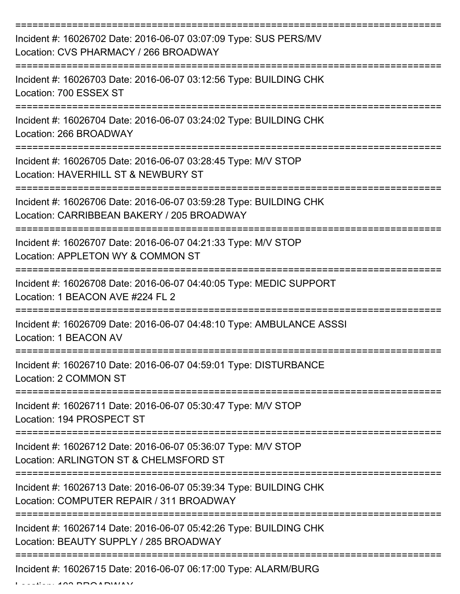| Incident #: 16026702 Date: 2016-06-07 03:07:09 Type: SUS PERS/MV<br>Location: CVS PHARMACY / 266 BROADWAY                               |
|-----------------------------------------------------------------------------------------------------------------------------------------|
| Incident #: 16026703 Date: 2016-06-07 03:12:56 Type: BUILDING CHK<br>Location: 700 ESSEX ST                                             |
| Incident #: 16026704 Date: 2016-06-07 03:24:02 Type: BUILDING CHK<br>Location: 266 BROADWAY                                             |
| Incident #: 16026705 Date: 2016-06-07 03:28:45 Type: M/V STOP<br>Location: HAVERHILL ST & NEWBURY ST                                    |
| Incident #: 16026706 Date: 2016-06-07 03:59:28 Type: BUILDING CHK<br>Location: CARRIBBEAN BAKERY / 205 BROADWAY<br>==================== |
| Incident #: 16026707 Date: 2016-06-07 04:21:33 Type: M/V STOP<br>Location: APPLETON WY & COMMON ST                                      |
| Incident #: 16026708 Date: 2016-06-07 04:40:05 Type: MEDIC SUPPORT<br>Location: 1 BEACON AVE #224 FL 2                                  |
| Incident #: 16026709 Date: 2016-06-07 04:48:10 Type: AMBULANCE ASSSI<br>Location: 1 BEACON AV                                           |
| Incident #: 16026710 Date: 2016-06-07 04:59:01 Type: DISTURBANCE<br>Location: 2 COMMON ST                                               |
| Incident #: 16026711 Date: 2016-06-07 05:30:47 Type: M/V STOP<br>Location: 194 PROSPECT ST                                              |
| Incident #: 16026712 Date: 2016-06-07 05:36:07 Type: M/V STOP<br>Location: ARLINGTON ST & CHELMSFORD ST                                 |
| Incident #: 16026713 Date: 2016-06-07 05:39:34 Type: BUILDING CHK<br>Location: COMPUTER REPAIR / 311 BROADWAY                           |
| Incident #: 16026714 Date: 2016-06-07 05:42:26 Type: BUILDING CHK<br>Location: BEAUTY SUPPLY / 285 BROADWAY                             |
| Incident #: 16026715 Date: 2016-06-07 06:17:00 Type: ALARM/BURG                                                                         |

 $L = L L L L L L$  100 BBOARWAY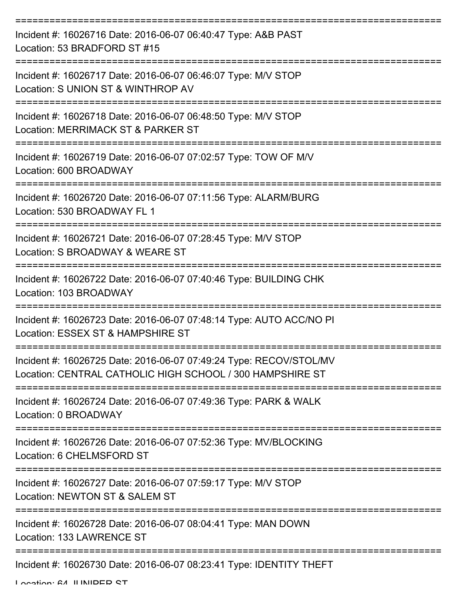| Incident #: 16026716 Date: 2016-06-07 06:40:47 Type: A&B PAST<br>Location: 53 BRADFORD ST #15                                   |
|---------------------------------------------------------------------------------------------------------------------------------|
| Incident #: 16026717 Date: 2016-06-07 06:46:07 Type: M/V STOP<br>Location: S UNION ST & WINTHROP AV                             |
| Incident #: 16026718 Date: 2016-06-07 06:48:50 Type: M/V STOP<br>Location: MERRIMACK ST & PARKER ST                             |
| Incident #: 16026719 Date: 2016-06-07 07:02:57 Type: TOW OF M/V<br>Location: 600 BROADWAY                                       |
| Incident #: 16026720 Date: 2016-06-07 07:11:56 Type: ALARM/BURG<br>Location: 530 BROADWAY FL 1                                  |
| Incident #: 16026721 Date: 2016-06-07 07:28:45 Type: M/V STOP<br>Location: S BROADWAY & WEARE ST                                |
| Incident #: 16026722 Date: 2016-06-07 07:40:46 Type: BUILDING CHK<br>Location: 103 BROADWAY                                     |
| Incident #: 16026723 Date: 2016-06-07 07:48:14 Type: AUTO ACC/NO PI<br>Location: ESSEX ST & HAMPSHIRE ST                        |
| Incident #: 16026725 Date: 2016-06-07 07:49:24 Type: RECOV/STOL/MV<br>Location: CENTRAL CATHOLIC HIGH SCHOOL / 300 HAMPSHIRE ST |
| Incident #: 16026724 Date: 2016-06-07 07:49:36 Type: PARK & WALK<br>Location: 0 BROADWAY                                        |
| Incident #: 16026726 Date: 2016-06-07 07:52:36 Type: MV/BLOCKING<br>Location: 6 CHELMSFORD ST                                   |
| Incident #: 16026727 Date: 2016-06-07 07:59:17 Type: M/V STOP<br>Location: NEWTON ST & SALEM ST                                 |
| Incident #: 16026728 Date: 2016-06-07 08:04:41 Type: MAN DOWN<br>Location: 133 LAWRENCE ST                                      |
| Incident #: 16026730 Date: 2016-06-07 08:23:41 Type: IDENTITY THEFT                                                             |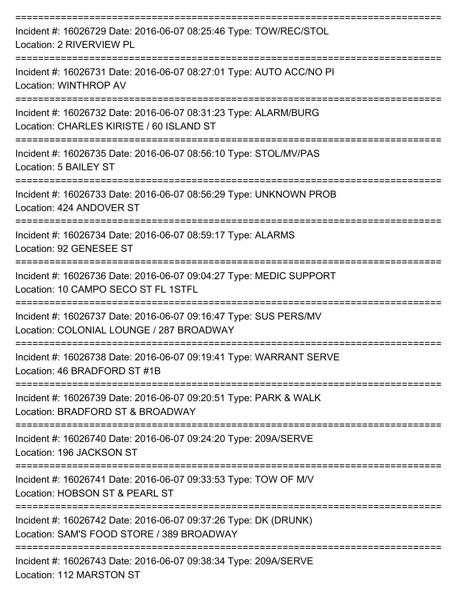| Incident #: 16026729 Date: 2016-06-07 08:25:46 Type: TOW/REC/STOL<br>Location: 2 RIVERVIEW PL                     |
|-------------------------------------------------------------------------------------------------------------------|
| Incident #: 16026731 Date: 2016-06-07 08:27:01 Type: AUTO ACC/NO PI<br>Location: WINTHROP AV<br>:================ |
| Incident #: 16026732 Date: 2016-06-07 08:31:23 Type: ALARM/BURG<br>Location: CHARLES KIRISTE / 60 ISLAND ST       |
| Incident #: 16026735 Date: 2016-06-07 08:56:10 Type: STOL/MV/PAS<br>Location: 5 BAILEY ST                         |
| Incident #: 16026733 Date: 2016-06-07 08:56:29 Type: UNKNOWN PROB<br>Location: 424 ANDOVER ST                     |
| Incident #: 16026734 Date: 2016-06-07 08:59:17 Type: ALARMS<br>Location: 92 GENESEE ST                            |
| Incident #: 16026736 Date: 2016-06-07 09:04:27 Type: MEDIC SUPPORT<br>Location: 10 CAMPO SECO ST FL 1STFL         |
| Incident #: 16026737 Date: 2016-06-07 09:16:47 Type: SUS PERS/MV<br>Location: COLONIAL LOUNGE / 287 BROADWAY      |
| Incident #: 16026738 Date: 2016-06-07 09:19:41 Type: WARRANT SERVE<br>Location: 46 BRADFORD ST #1B                |
| Incident #: 16026739 Date: 2016-06-07 09:20:51 Type: PARK & WALK<br>Location: BRADFORD ST & BROADWAY              |
| Incident #: 16026740 Date: 2016-06-07 09:24:20 Type: 209A/SERVE<br>Location: 196 JACKSON ST                       |
| Incident #: 16026741 Date: 2016-06-07 09:33:53 Type: TOW OF M/V<br>Location: HOBSON ST & PEARL ST                 |
| Incident #: 16026742 Date: 2016-06-07 09:37:26 Type: DK (DRUNK)<br>Location: SAM'S FOOD STORE / 389 BROADWAY      |
| Incident #: 16026743 Date: 2016-06-07 09:38:34 Type: 209A/SERVE                                                   |

Location: 112 MARSTON ST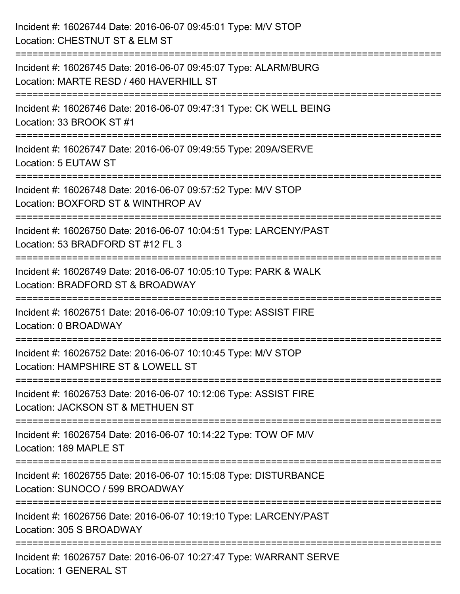| Incident #: 16026744 Date: 2016-06-07 09:45:01 Type: M/V STOP<br>Location: CHESTNUT ST & ELM ST                                                                      |
|----------------------------------------------------------------------------------------------------------------------------------------------------------------------|
| Incident #: 16026745 Date: 2016-06-07 09:45:07 Type: ALARM/BURG<br>Location: MARTE RESD / 460 HAVERHILL ST                                                           |
| :=====================<br>Incident #: 16026746 Date: 2016-06-07 09:47:31 Type: CK WELL BEING<br>Location: 33 BROOK ST #1                                             |
| Incident #: 16026747 Date: 2016-06-07 09:49:55 Type: 209A/SERVE<br>Location: 5 EUTAW ST<br>:=================================                                        |
| Incident #: 16026748 Date: 2016-06-07 09:57:52 Type: M/V STOP<br>Location: BOXFORD ST & WINTHROP AV                                                                  |
| Incident #: 16026750 Date: 2016-06-07 10:04:51 Type: LARCENY/PAST<br>Location: 53 BRADFORD ST #12 FL 3                                                               |
| ---------------------<br>-----------------------------------<br>Incident #: 16026749 Date: 2016-06-07 10:05:10 Type: PARK & WALK<br>Location: BRADFORD ST & BROADWAY |
| Incident #: 16026751 Date: 2016-06-07 10:09:10 Type: ASSIST FIRE<br>Location: 0 BROADWAY                                                                             |
| Incident #: 16026752 Date: 2016-06-07 10:10:45 Type: M/V STOP<br>Location: HAMPSHIRE ST & LOWELL ST                                                                  |
| Incident #: 16026753 Date: 2016-06-07 10:12:06 Type: ASSIST FIRE<br>Location: JACKSON ST & METHUEN ST                                                                |
| Incident #: 16026754 Date: 2016-06-07 10:14:22 Type: TOW OF M/V<br>Location: 189 MAPLE ST                                                                            |
| Incident #: 16026755 Date: 2016-06-07 10:15:08 Type: DISTURBANCE<br>Location: SUNOCO / 599 BROADWAY                                                                  |
| Incident #: 16026756 Date: 2016-06-07 10:19:10 Type: LARCENY/PAST<br>Location: 305 S BROADWAY                                                                        |
| Incident #: 16026757 Date: 2016-06-07 10:27:47 Type: WARRANT SERVE<br>Location: 1 GENERAL ST                                                                         |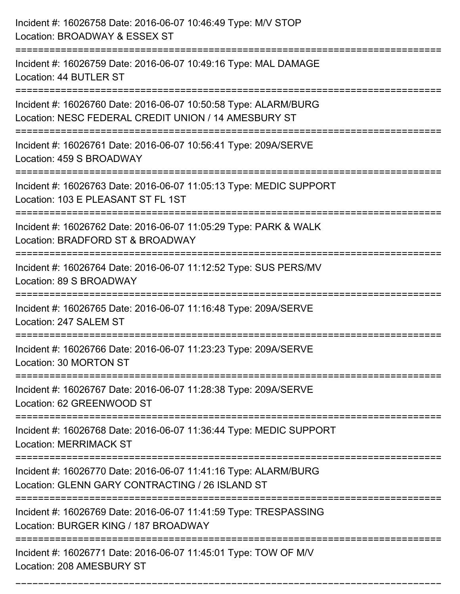| Incident #: 16026758 Date: 2016-06-07 10:46:49 Type: M/V STOP<br>Location: BROADWAY & ESSEX ST                                                     |
|----------------------------------------------------------------------------------------------------------------------------------------------------|
| :============<br>Incident #: 16026759 Date: 2016-06-07 10:49:16 Type: MAL DAMAGE<br>Location: 44 BUTLER ST                                         |
| Incident #: 16026760 Date: 2016-06-07 10:50:58 Type: ALARM/BURG<br>Location: NESC FEDERAL CREDIT UNION / 14 AMESBURY ST                            |
| Incident #: 16026761 Date: 2016-06-07 10:56:41 Type: 209A/SERVE<br>Location: 459 S BROADWAY                                                        |
| Incident #: 16026763 Date: 2016-06-07 11:05:13 Type: MEDIC SUPPORT<br>Location: 103 E PLEASANT ST FL 1ST<br>====================================== |
| Incident #: 16026762 Date: 2016-06-07 11:05:29 Type: PARK & WALK<br>Location: BRADFORD ST & BROADWAY                                               |
| Incident #: 16026764 Date: 2016-06-07 11:12:52 Type: SUS PERS/MV<br>Location: 89 S BROADWAY                                                        |
| Incident #: 16026765 Date: 2016-06-07 11:16:48 Type: 209A/SERVE<br>Location: 247 SALEM ST                                                          |
| Incident #: 16026766 Date: 2016-06-07 11:23:23 Type: 209A/SERVE<br>Location: 30 MORTON ST                                                          |
| Incident #: 16026767 Date: 2016-06-07 11:28:38 Type: 209A/SERVE<br>Location: 62 GREENWOOD ST                                                       |
| Incident #: 16026768 Date: 2016-06-07 11:36:44 Type: MEDIC SUPPORT<br><b>Location: MERRIMACK ST</b>                                                |
| Incident #: 16026770 Date: 2016-06-07 11:41:16 Type: ALARM/BURG<br>Location: GLENN GARY CONTRACTING / 26 ISLAND ST                                 |
| Incident #: 16026769 Date: 2016-06-07 11:41:59 Type: TRESPASSING<br>Location: BURGER KING / 187 BROADWAY                                           |
| Incident #: 16026771 Date: 2016-06-07 11:45:01 Type: TOW OF M/V<br>Location: 208 AMESBURY ST                                                       |

===========================================================================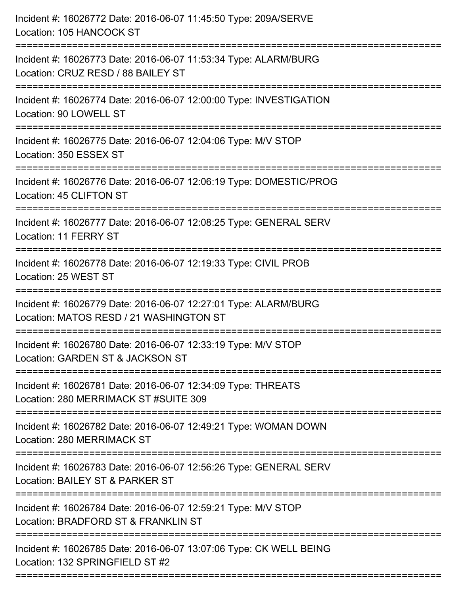| Incident #: 16026772 Date: 2016-06-07 11:45:50 Type: 209A/SERVE<br>Location: 105 HANCOCK ST                                     |
|---------------------------------------------------------------------------------------------------------------------------------|
| Incident #: 16026773 Date: 2016-06-07 11:53:34 Type: ALARM/BURG<br>Location: CRUZ RESD / 88 BAILEY ST                           |
| Incident #: 16026774 Date: 2016-06-07 12:00:00 Type: INVESTIGATION<br>Location: 90 LOWELL ST                                    |
| Incident #: 16026775 Date: 2016-06-07 12:04:06 Type: M/V STOP<br>Location: 350 ESSEX ST                                         |
| Incident #: 16026776 Date: 2016-06-07 12:06:19 Type: DOMESTIC/PROG<br>Location: 45 CLIFTON ST<br>============================== |
| Incident #: 16026777 Date: 2016-06-07 12:08:25 Type: GENERAL SERV<br>Location: 11 FERRY ST                                      |
| Incident #: 16026778 Date: 2016-06-07 12:19:33 Type: CIVIL PROB<br>Location: 25 WEST ST<br>;============================        |
| Incident #: 16026779 Date: 2016-06-07 12:27:01 Type: ALARM/BURG<br>Location: MATOS RESD / 21 WASHINGTON ST                      |
| Incident #: 16026780 Date: 2016-06-07 12:33:19 Type: M/V STOP<br>Location: GARDEN ST & JACKSON ST                               |
| Incident #: 16026781 Date: 2016-06-07 12:34:09 Type: THREATS<br>Location: 280 MERRIMACK ST #SUITE 309                           |
| Incident #: 16026782 Date: 2016-06-07 12:49:21 Type: WOMAN DOWN<br>Location: 280 MERRIMACK ST                                   |
| Incident #: 16026783 Date: 2016-06-07 12:56:26 Type: GENERAL SERV<br>Location: BAILEY ST & PARKER ST                            |
| Incident #: 16026784 Date: 2016-06-07 12:59:21 Type: M/V STOP<br>Location: BRADFORD ST & FRANKLIN ST                            |
| Incident #: 16026785 Date: 2016-06-07 13:07:06 Type: CK WELL BEING<br>Location: 132 SPRINGFIELD ST #2                           |
|                                                                                                                                 |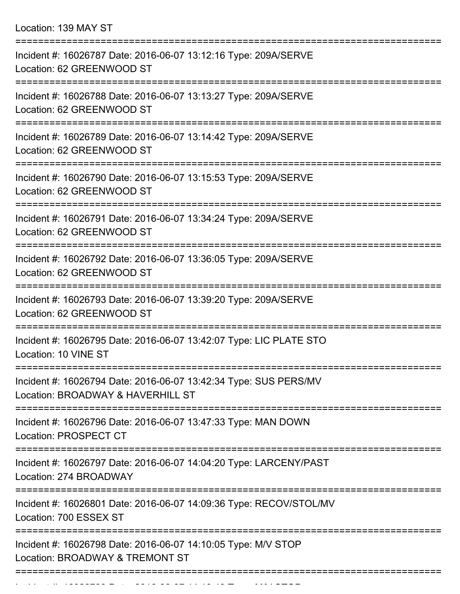Location: 139 MAY ST

| Incident #: 16026787 Date: 2016-06-07 13:12:16 Type: 209A/SERVE<br>Location: 62 GREENWOOD ST          |
|-------------------------------------------------------------------------------------------------------|
| Incident #: 16026788 Date: 2016-06-07 13:13:27 Type: 209A/SERVE<br>Location: 62 GREENWOOD ST          |
| Incident #: 16026789 Date: 2016-06-07 13:14:42 Type: 209A/SERVE<br>Location: 62 GREENWOOD ST          |
| Incident #: 16026790 Date: 2016-06-07 13:15:53 Type: 209A/SERVE<br>Location: 62 GREENWOOD ST          |
| Incident #: 16026791 Date: 2016-06-07 13:34:24 Type: 209A/SERVE<br>Location: 62 GREENWOOD ST          |
| Incident #: 16026792 Date: 2016-06-07 13:36:05 Type: 209A/SERVE<br>Location: 62 GREENWOOD ST          |
| Incident #: 16026793 Date: 2016-06-07 13:39:20 Type: 209A/SERVE<br>Location: 62 GREENWOOD ST          |
| Incident #: 16026795 Date: 2016-06-07 13:42:07 Type: LIC PLATE STO<br>Location: 10 VINE ST            |
| Incident #: 16026794 Date: 2016-06-07 13:42:34 Type: SUS PERS/MV<br>Location: BROADWAY & HAVERHILL ST |
| Incident #: 16026796 Date: 2016-06-07 13:47:33 Type: MAN DOWN<br><b>Location: PROSPECT CT</b>         |
| Incident #: 16026797 Date: 2016-06-07 14:04:20 Type: LARCENY/PAST<br>Location: 274 BROADWAY           |
| Incident #: 16026801 Date: 2016-06-07 14:09:36 Type: RECOV/STOL/MV<br>Location: 700 ESSEX ST          |
| Incident #: 16026798 Date: 2016-06-07 14:10:05 Type: M/V STOP<br>Location: BROADWAY & TREMONT ST      |
|                                                                                                       |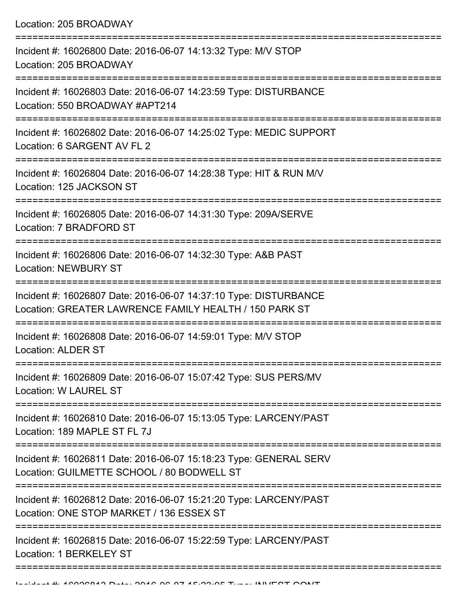| Incident #: 16026800 Date: 2016-06-07 14:13:32 Type: M/V STOP<br>Location: 205 BROADWAY                                    |
|----------------------------------------------------------------------------------------------------------------------------|
| Incident #: 16026803 Date: 2016-06-07 14:23:59 Type: DISTURBANCE<br>Location: 550 BROADWAY #APT214                         |
| Incident #: 16026802 Date: 2016-06-07 14:25:02 Type: MEDIC SUPPORT<br>Location: 6 SARGENT AV FL 2                          |
| Incident #: 16026804 Date: 2016-06-07 14:28:38 Type: HIT & RUN M/V<br>Location: 125 JACKSON ST                             |
| Incident #: 16026805 Date: 2016-06-07 14:31:30 Type: 209A/SERVE<br>Location: 7 BRADFORD ST                                 |
| Incident #: 16026806 Date: 2016-06-07 14:32:30 Type: A&B PAST<br><b>Location: NEWBURY ST</b>                               |
| Incident #: 16026807 Date: 2016-06-07 14:37:10 Type: DISTURBANCE<br>Location: GREATER LAWRENCE FAMILY HEALTH / 150 PARK ST |
| Incident #: 16026808 Date: 2016-06-07 14:59:01 Type: M/V STOP<br><b>Location: ALDER ST</b>                                 |
| Incident #: 16026809 Date: 2016-06-07 15:07:42 Type: SUS PERS/MV<br><b>Location: W LAUREL ST</b>                           |
| Incident #: 16026810 Date: 2016-06-07 15:13:05 Type: LARCENY/PAST<br>Location: 189 MAPLE ST FL 7J                          |
| Incident #: 16026811 Date: 2016-06-07 15:18:23 Type: GENERAL SERV<br>Location: GUILMETTE SCHOOL / 80 BODWELL ST            |
| Incident #: 16026812 Date: 2016-06-07 15:21:20 Type: LARCENY/PAST<br>Location: ONE STOP MARKET / 136 ESSEX ST              |
| Incident #: 16026815 Date: 2016-06-07 15:22:59 Type: LARCENY/PAST<br>Location: 1 BERKELEY ST                               |
|                                                                                                                            |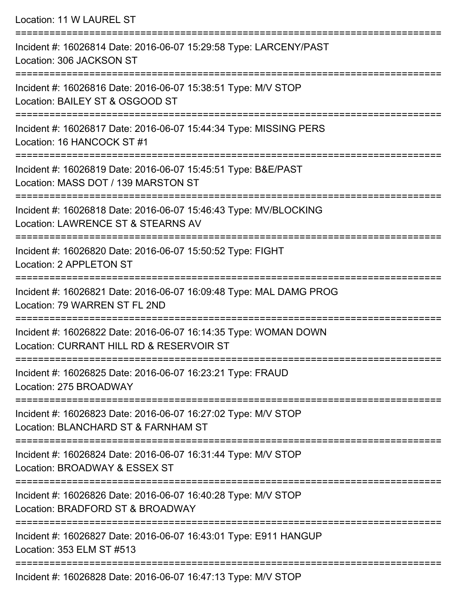Location: 11 W LAUREL ST =========================================================================== Incident #: 16026814 Date: 2016-06-07 15:29:58 Type: LARCENY/PAST Location: 306 JACKSON ST =========================================================================== Incident #: 16026816 Date: 2016-06-07 15:38:51 Type: M/V STOP Location: BAILEY ST & OSGOOD ST =========================================================================== Incident #: 16026817 Date: 2016-06-07 15:44:34 Type: MISSING PERS Location: 16 HANCOCK ST #1 =========================================================================== Incident #: 16026819 Date: 2016-06-07 15:45:51 Type: B&E/PAST Location: MASS DOT / 139 MARSTON ST =========================================================================== Incident #: 16026818 Date: 2016-06-07 15:46:43 Type: MV/BLOCKING Location: LAWRENCE ST & STEARNS AV =========================================================================== Incident #: 16026820 Date: 2016-06-07 15:50:52 Type: FIGHT Location: 2 APPLETON ST =========================================================================== Incident #: 16026821 Date: 2016-06-07 16:09:48 Type: MAL DAMG PROG Location: 79 WARREN ST FL 2ND =========================================================================== Incident #: 16026822 Date: 2016-06-07 16:14:35 Type: WOMAN DOWN Location: CURRANT HILL RD & RESERVOIR ST =========================================================================== Incident #: 16026825 Date: 2016-06-07 16:23:21 Type: FRAUD Location: 275 BROADWAY =========================================================================== Incident #: 16026823 Date: 2016-06-07 16:27:02 Type: M/V STOP Location: BLANCHARD ST & FARNHAM ST =========================================================================== Incident #: 16026824 Date: 2016-06-07 16:31:44 Type: M/V STOP Location: BROADWAY & ESSEX ST =========================================================================== Incident #: 16026826 Date: 2016-06-07 16:40:28 Type: M/V STOP Location: BRADFORD ST & BROADWAY =========================================================================== Incident #: 16026827 Date: 2016-06-07 16:43:01 Type: E911 HANGUP Location: 353 ELM ST #513 ===========================================================================

Incident #: 16026828 Date: 2016-06-07 16:47:13 Type: M/V STOP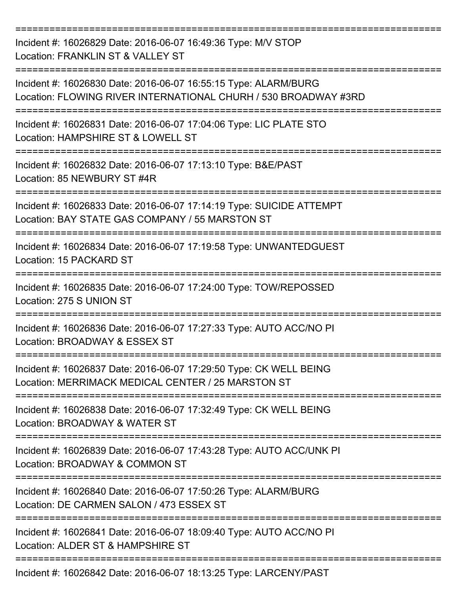=========================================================================== Incident #: 16026829 Date: 2016-06-07 16:49:36 Type: M/V STOP Location: FRANKLIN ST & VALLEY ST =========================================================================== Incident #: 16026830 Date: 2016-06-07 16:55:15 Type: ALARM/BURG Location: FLOWING RIVER INTERNATIONAL CHURH / 530 BROADWAY #3RD =========================================================================== Incident #: 16026831 Date: 2016-06-07 17:04:06 Type: LIC PLATE STO Location: HAMPSHIRE ST & LOWELL ST =========================================================================== Incident #: 16026832 Date: 2016-06-07 17:13:10 Type: B&E/PAST Location: 85 NEWBURY ST #4R =========================================================================== Incident #: 16026833 Date: 2016-06-07 17:14:19 Type: SUICIDE ATTEMPT Location: BAY STATE GAS COMPANY / 55 MARSTON ST =========================================================================== Incident #: 16026834 Date: 2016-06-07 17:19:58 Type: UNWANTEDGUEST Location: 15 PACKARD ST =========================================================================== Incident #: 16026835 Date: 2016-06-07 17:24:00 Type: TOW/REPOSSED Location: 275 S UNION ST =========================================================================== Incident #: 16026836 Date: 2016-06-07 17:27:33 Type: AUTO ACC/NO PI Location: BROADWAY & ESSEX ST =========================================================================== Incident #: 16026837 Date: 2016-06-07 17:29:50 Type: CK WELL BEING Location: MERRIMACK MEDICAL CENTER / 25 MARSTON ST =========================================================================== Incident #: 16026838 Date: 2016-06-07 17:32:49 Type: CK WELL BEING Location: BROADWAY & WATER ST =========================================================================== Incident #: 16026839 Date: 2016-06-07 17:43:28 Type: AUTO ACC/UNK PI Location: BROADWAY & COMMON ST =========================================================================== Incident #: 16026840 Date: 2016-06-07 17:50:26 Type: ALARM/BURG Location: DE CARMEN SALON / 473 ESSEX ST =========================================================================== Incident #: 16026841 Date: 2016-06-07 18:09:40 Type: AUTO ACC/NO PI Location: ALDER ST & HAMPSHIRE ST =========================================================================== Incident #: 16026842 Date: 2016-06-07 18:13:25 Type: LARCENY/PAST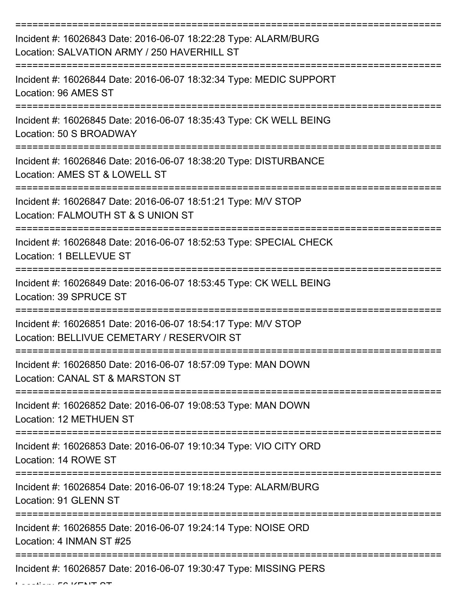| Incident #: 16026843 Date: 2016-06-07 18:22:28 Type: ALARM/BURG<br>Location: SALVATION ARMY / 250 HAVERHILL ST |
|----------------------------------------------------------------------------------------------------------------|
| Incident #: 16026844 Date: 2016-06-07 18:32:34 Type: MEDIC SUPPORT<br>Location: 96 AMES ST                     |
| Incident #: 16026845 Date: 2016-06-07 18:35:43 Type: CK WELL BEING<br>Location: 50 S BROADWAY                  |
| Incident #: 16026846 Date: 2016-06-07 18:38:20 Type: DISTURBANCE<br>Location: AMES ST & LOWELL ST              |
| Incident #: 16026847 Date: 2016-06-07 18:51:21 Type: M/V STOP<br>Location: FALMOUTH ST & S UNION ST            |
| Incident #: 16026848 Date: 2016-06-07 18:52:53 Type: SPECIAL CHECK<br>Location: 1 BELLEVUE ST                  |
| Incident #: 16026849 Date: 2016-06-07 18:53:45 Type: CK WELL BEING<br>Location: 39 SPRUCE ST                   |
| Incident #: 16026851 Date: 2016-06-07 18:54:17 Type: M/V STOP<br>Location: BELLIVUE CEMETARY / RESERVOIR ST    |
| Incident #: 16026850 Date: 2016-06-07 18:57:09 Type: MAN DOWN<br>Location: CANAL ST & MARSTON ST               |
| Incident #: 16026852 Date: 2016-06-07 19:08:53 Type: MAN DOWN<br><b>Location: 12 METHUEN ST</b>                |
| Incident #: 16026853 Date: 2016-06-07 19:10:34 Type: VIO CITY ORD<br>Location: 14 ROWE ST                      |
| Incident #: 16026854 Date: 2016-06-07 19:18:24 Type: ALARM/BURG<br>Location: 91 GLENN ST                       |
| Incident #: 16026855 Date: 2016-06-07 19:24:14 Type: NOISE ORD<br>Location: 4 INMAN ST #25                     |
| Incident #: 16026857 Date: 2016-06-07 19:30:47 Type: MISSING PERS                                              |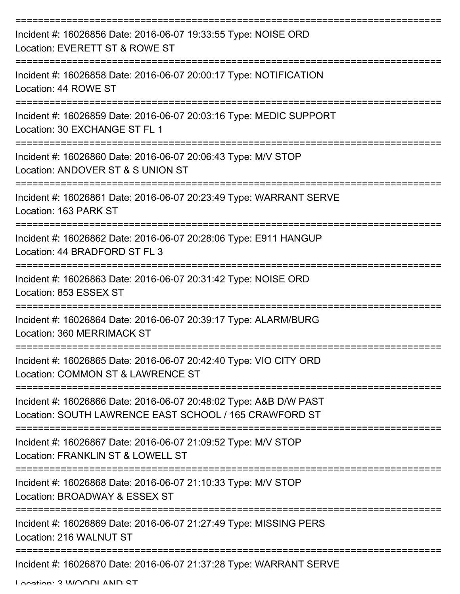| Incident #: 16026856 Date: 2016-06-07 19:33:55 Type: NOISE ORD<br>Location: EVERETT ST & ROWE ST                            |
|-----------------------------------------------------------------------------------------------------------------------------|
| Incident #: 16026858 Date: 2016-06-07 20:00:17 Type: NOTIFICATION<br>Location: 44 ROWE ST<br>-----------------------        |
| Incident #: 16026859 Date: 2016-06-07 20:03:16 Type: MEDIC SUPPORT<br>Location: 30 EXCHANGE ST FL 1                         |
| Incident #: 16026860 Date: 2016-06-07 20:06:43 Type: M/V STOP<br>Location: ANDOVER ST & S UNION ST                          |
| Incident #: 16026861 Date: 2016-06-07 20:23:49 Type: WARRANT SERVE<br>Location: 163 PARK ST                                 |
| Incident #: 16026862 Date: 2016-06-07 20:28:06 Type: E911 HANGUP<br>Location: 44 BRADFORD ST FL 3                           |
| Incident #: 16026863 Date: 2016-06-07 20:31:42 Type: NOISE ORD<br>Location: 853 ESSEX ST                                    |
| Incident #: 16026864 Date: 2016-06-07 20:39:17 Type: ALARM/BURG<br>Location: 360 MERRIMACK ST                               |
| Incident #: 16026865 Date: 2016-06-07 20:42:40 Type: VIO CITY ORD<br>Location: COMMON ST & LAWRENCE ST                      |
| Incident #: 16026866 Date: 2016-06-07 20:48:02 Type: A&B D/W PAST<br>Location: SOUTH LAWRENCE EAST SCHOOL / 165 CRAWFORD ST |
| Incident #: 16026867 Date: 2016-06-07 21:09:52 Type: M/V STOP<br>Location: FRANKLIN ST & LOWELL ST                          |
| Incident #: 16026868 Date: 2016-06-07 21:10:33 Type: M/V STOP<br>Location: BROADWAY & ESSEX ST                              |
| Incident #: 16026869 Date: 2016-06-07 21:27:49 Type: MISSING PERS<br>Location: 216 WALNUT ST                                |
| Incident #: 16026870 Date: 2016-06-07 21:37:28 Type: WARRANT SERVE                                                          |

Location: 3 WOODLAND ST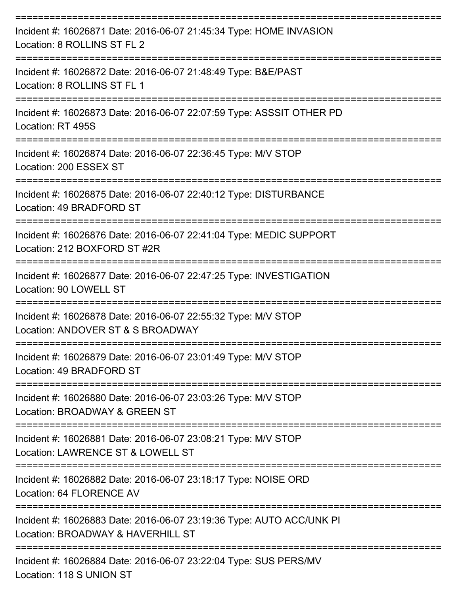| Incident #: 16026871 Date: 2016-06-07 21:45:34 Type: HOME INVASION<br>Location: 8 ROLLINS ST FL 2         |
|-----------------------------------------------------------------------------------------------------------|
| Incident #: 16026872 Date: 2016-06-07 21:48:49 Type: B&E/PAST<br>Location: 8 ROLLINS ST FL 1              |
| Incident #: 16026873 Date: 2016-06-07 22:07:59 Type: ASSSIT OTHER PD<br>Location: RT 495S                 |
| Incident #: 16026874 Date: 2016-06-07 22:36:45 Type: M/V STOP<br>Location: 200 ESSEX ST                   |
| Incident #: 16026875 Date: 2016-06-07 22:40:12 Type: DISTURBANCE<br>Location: 49 BRADFORD ST              |
| Incident #: 16026876 Date: 2016-06-07 22:41:04 Type: MEDIC SUPPORT<br>Location: 212 BOXFORD ST #2R        |
| Incident #: 16026877 Date: 2016-06-07 22:47:25 Type: INVESTIGATION<br>Location: 90 LOWELL ST              |
| Incident #: 16026878 Date: 2016-06-07 22:55:32 Type: M/V STOP<br>Location: ANDOVER ST & S BROADWAY        |
| Incident #: 16026879 Date: 2016-06-07 23:01:49 Type: M/V STOP<br>Location: 49 BRADFORD ST                 |
| Incident #: 16026880 Date: 2016-06-07 23:03:26 Type: M/V STOP<br>Location: BROADWAY & GREEN ST            |
| Incident #: 16026881 Date: 2016-06-07 23:08:21 Type: M/V STOP<br>Location: LAWRENCE ST & LOWELL ST        |
| Incident #: 16026882 Date: 2016-06-07 23:18:17 Type: NOISE ORD<br>Location: 64 FLORENCE AV                |
| Incident #: 16026883 Date: 2016-06-07 23:19:36 Type: AUTO ACC/UNK PI<br>Location: BROADWAY & HAVERHILL ST |
| Incident #: 16026884 Date: 2016-06-07 23:22:04 Type: SUS PERS/MV                                          |

Location: 118 S UNION ST